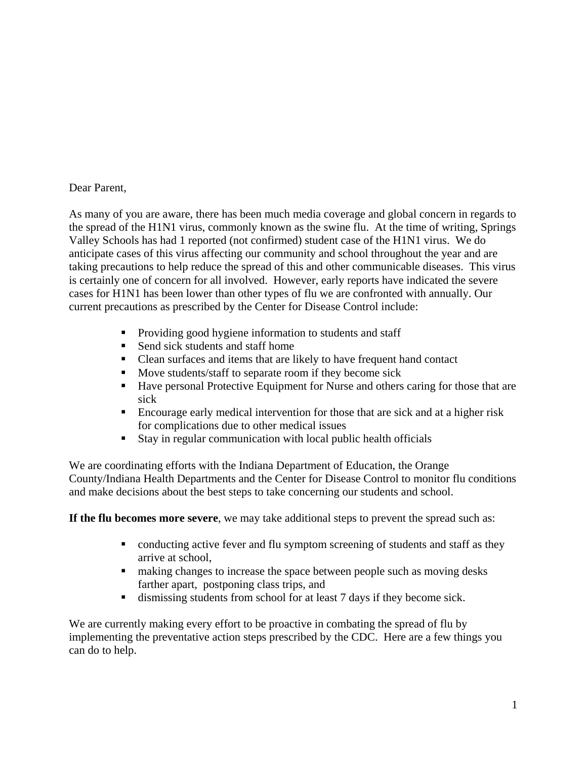## Dear Parent,

As many of you are aware, there has been much media coverage and global concern in regards to the spread of the H1N1 virus, commonly known as the swine flu. At the time of writing, Springs Valley Schools has had 1 reported (not confirmed) student case of the H1N1 virus. We do anticipate cases of this virus affecting our community and school throughout the year and are taking precautions to help reduce the spread of this and other communicable diseases. This virus is certainly one of concern for all involved. However, early reports have indicated the severe cases for H1N1 has been lower than other types of flu we are confronted with annually. Our current precautions as prescribed by the Center for Disease Control include:

- Providing good hygiene information to students and staff
- Send sick students and staff home
- Clean surfaces and items that are likely to have frequent hand contact
- Move students/staff to separate room if they become sick
- Have personal Protective Equipment for Nurse and others caring for those that are sick
- Encourage early medical intervention for those that are sick and at a higher risk for complications due to other medical issues
- Stay in regular communication with local public health officials

We are coordinating efforts with the Indiana Department of Education, the Orange County/Indiana Health Departments and the Center for Disease Control to monitor flu conditions and make decisions about the best steps to take concerning our students and school.

**If the flu becomes more severe**, we may take additional steps to prevent the spread such as:

- conducting active fever and flu symptom screening of students and staff as they arrive at school,
- making changes to increase the space between people such as moving desks farther apart, postponing class trips, and
- dismissing students from school for at least 7 days if they become sick.

We are currently making every effort to be proactive in combating the spread of flu by implementing the preventative action steps prescribed by the CDC. Here are a few things you can do to help.